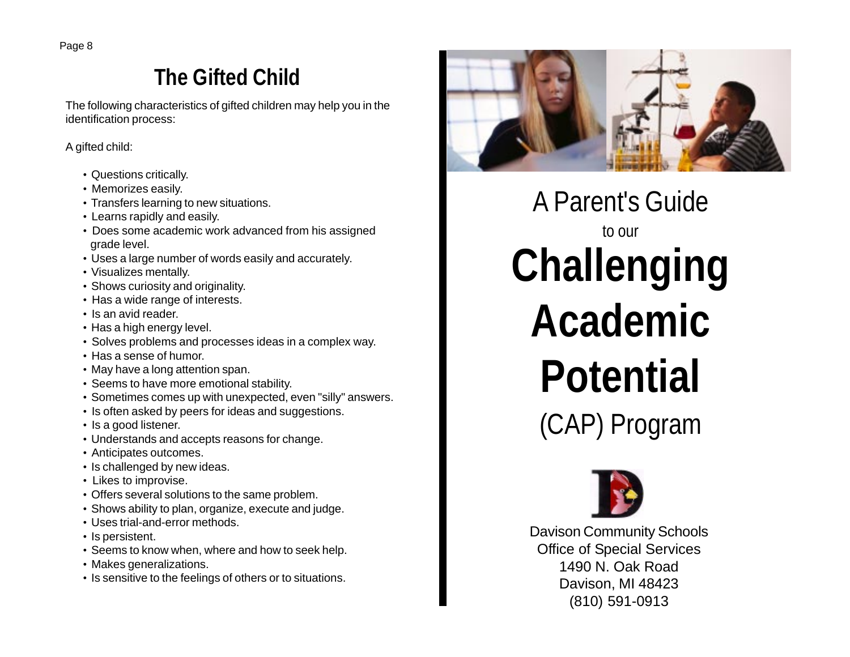## **The Gifted Child**

The following characteristics of gifted children may help you in the identification process:

A gifted child:

- Questions critically.
- Memorizes easily.
- Transfers learning to new situations.
- Learns rapidly and easily.
- Does some academic work advanced from his assigned grade level.
- Uses a large number of words easily and accurately.
- Visualizes mentally.
- Shows curiosity and originality.
- Has a wide range of interests.
- Is an avid reader.
- Has a high energy level.
- Solves problems and processes ideas in a complex way.
- Has a sense of humor.
- May have a long attention span.
- Seems to have more emotional stability.
- Sometimes comes up with unexpected, even "silly" answers.
- Is often asked by peers for ideas and suggestions.
- Is a good listener.
- Understands and accepts reasons for change.
- Anticipates outcomes.
- Is challenged by new ideas.
- Likes to improvise.
- Offers several solutions to the same problem.
- Shows ability to plan, organize, execute and judge.
- Uses trial-and-error methods.
- Is persistent.
- Seems to know when, where and how to seek help.
- Makes generalizations.
- Is sensitive to the feelings of others or to situations.



A Parent's Guide to our **Challenging Academic Potential** (CAP) Program



Davison Community Schools Office of Special Services 1490 N. Oak Road Davison, MI 48423 (810) 591-0913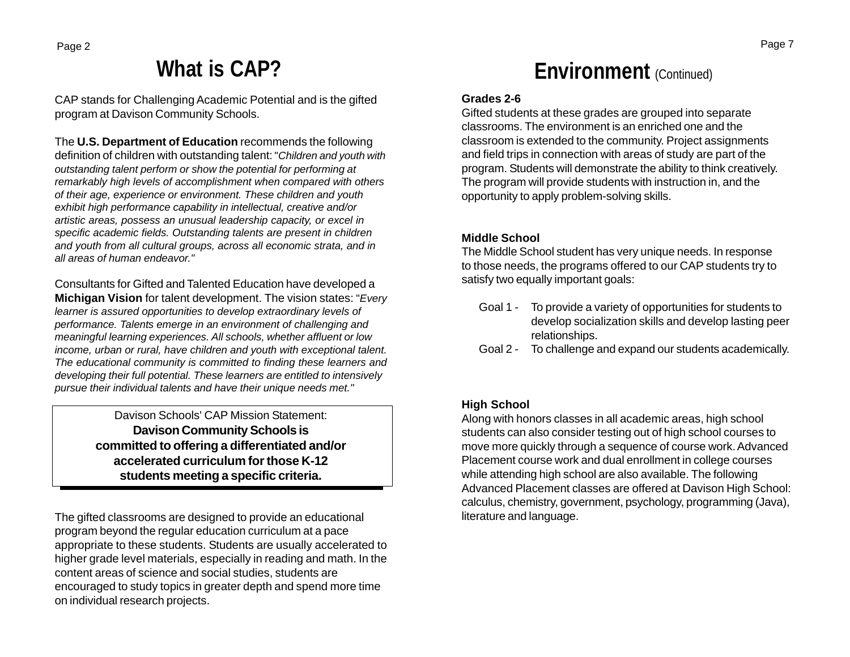## **What is CAP?**

CAP stands for Challenging Academic Potential and is the gifted program at Davison Community Schools.

The **U.S. Department of Education** recommends the following definition of children with outstanding talent: "*Children and youth with outstanding talent perform or show the potential for performing at remarkably high levels of accomplishment when compared with others of their age, experience or environment. These children and youth exhibit high performance capability in intellectual, creative and/or artistic areas, possess an unusual leadership capacity, or excel in specific academic fields. Outstanding talents are present in children and youth from all cultural groups, across all economic strata, and in all areas of human endeavor."*

Consultants for Gifted and Talented Education have developed a **Michigan Vision** for talent development. The vision states: "*Every learner is assured opportunities to develop extraordinary levels of performance. Talents emerge in an environment of challenging and meaningful learning experiences. All schools, whether affluent or low income, urban or rural, have children and youth with exceptional talent. The educational community is committed to finding these learners and developing their full potential. These learners are entitled to intensively pursue their individual talents and have their unique needs met."*

> Davison Schools' CAP Mission Statement: **Davison Community Schools is committed to offering a differentiated and/or accelerated curriculum for those K-12 students meeting a specific criteria.**

The gifted classrooms are designed to provide an educational program beyond the regular education curriculum at a pace appropriate to these students. Students are usually accelerated to higher grade level materials, especially in reading and math. In the content areas of science and social studies, students are encouraged to study topics in greater depth and spend more time on individual research projects.

## **Environment** (Continued)

### **Grades 2-6**

Gifted students at these grades are grouped into separate classrooms. The environment is an enriched one and the classroom is extended to the community. Project assignments and field trips in connection with areas of study are part of the program. Students will demonstrate the ability to think creatively. The program will provide students with instruction in, and the opportunity to apply problem-solving skills.

### **Middle School**

The Middle School student has very unique needs. In response to those needs, the programs offered to our CAP students try to satisfy two equally important goals:

- Goal 1 To provide a variety of opportunities for students to develop socialization skills and develop lasting peer relationships.
- Goal 2 To challenge and expand our students academically.

### **High School**

Along with honors classes in all academic areas, high school students can also consider testing out of high school courses to move more quickly through a sequence of course work. Advanced Placement course work and dual enrollment in college courses while attending high school are also available. The following Advanced Placement classes are offered at Davison High School: calculus, chemistry, government, psychology, programming (Java), literature and language.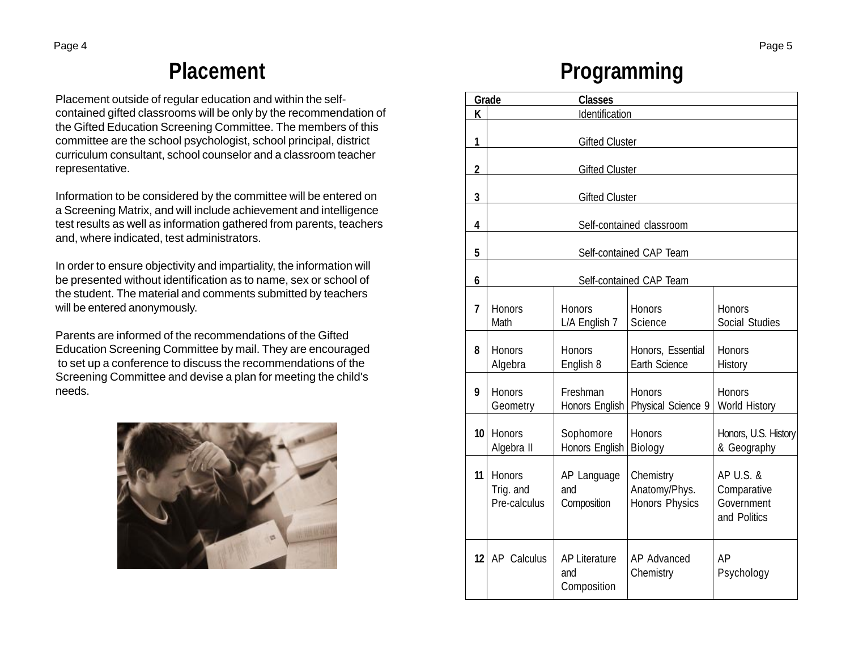Placement outside of regular education and within the selfcontained gifted classrooms will be only by the recommendation of the Gifted Education Screening Committee. The members of this committee are the school psychologist, school principal, district curriculum consultant, school counselor and a classroom teacher representative.

Information to be considered by the committee will be entered on a Screening Matrix, and will include achievement and intelligence test results as well as information gathered from parents, teachers and, where indicated, test administrators.

In order to ensure objectivity and impartiality, the information will be presented without identification as to name, sex or school of the student. The material and comments submitted by teachers will be entered anonymously.

Parents are informed of the recommendations of the Gifted Education Screening Committee by mail. They are encouraged to set up a conference to discuss the recommendations of the Screening Committee and devise a plan for meeting the child's needs.



## **Placement Programming**

| Grade          |                                            | <b>Classes</b>                             |                                                     |                                                        |
|----------------|--------------------------------------------|--------------------------------------------|-----------------------------------------------------|--------------------------------------------------------|
| K              | Identification                             |                                            |                                                     |                                                        |
| 1              | <b>Gifted Cluster</b>                      |                                            |                                                     |                                                        |
| $\overline{2}$ | <b>Gifted Cluster</b>                      |                                            |                                                     |                                                        |
| 3              | <b>Gifted Cluster</b>                      |                                            |                                                     |                                                        |
| 4              | Self-contained classroom                   |                                            |                                                     |                                                        |
| 5              | Self-contained CAP Team                    |                                            |                                                     |                                                        |
| 6              | Self-contained CAP Team                    |                                            |                                                     |                                                        |
| 7              | <b>Honors</b><br>Math                      | Honors<br>L/A English 7                    | <b>Honors</b><br><b>Science</b>                     | Honors<br><b>Social Studies</b>                        |
| 8              | <b>Honors</b><br>Algebra                   | <b>Honors</b><br>English 8                 | Honors, Essential<br>Earth Science                  | <b>Honors</b><br>History                               |
| 9              | <b>Honors</b><br>Geometry                  | Freshman<br>Honors English                 | Honors<br>Physical Science 9                        | <b>Honors</b><br>World History                         |
| 10             | <b>Honors</b><br>Algebra II                | Sophomore<br>Honors English                | <b>Honors</b><br>Biology                            | Honors, U.S. History<br>& Geography                    |
| 11             | <b>Honors</b><br>Trig. and<br>Pre-calculus | AP Language<br>and<br>Composition          | Chemistry<br>Anatomy/Phys.<br><b>Honors Physics</b> | AP U.S. &<br>Comparative<br>Government<br>and Politics |
| 12             | AP Calculus                                | <b>AP Literature</b><br>and<br>Composition | <b>AP Advanced</b><br>Chemistry                     | AP<br>Psychology                                       |